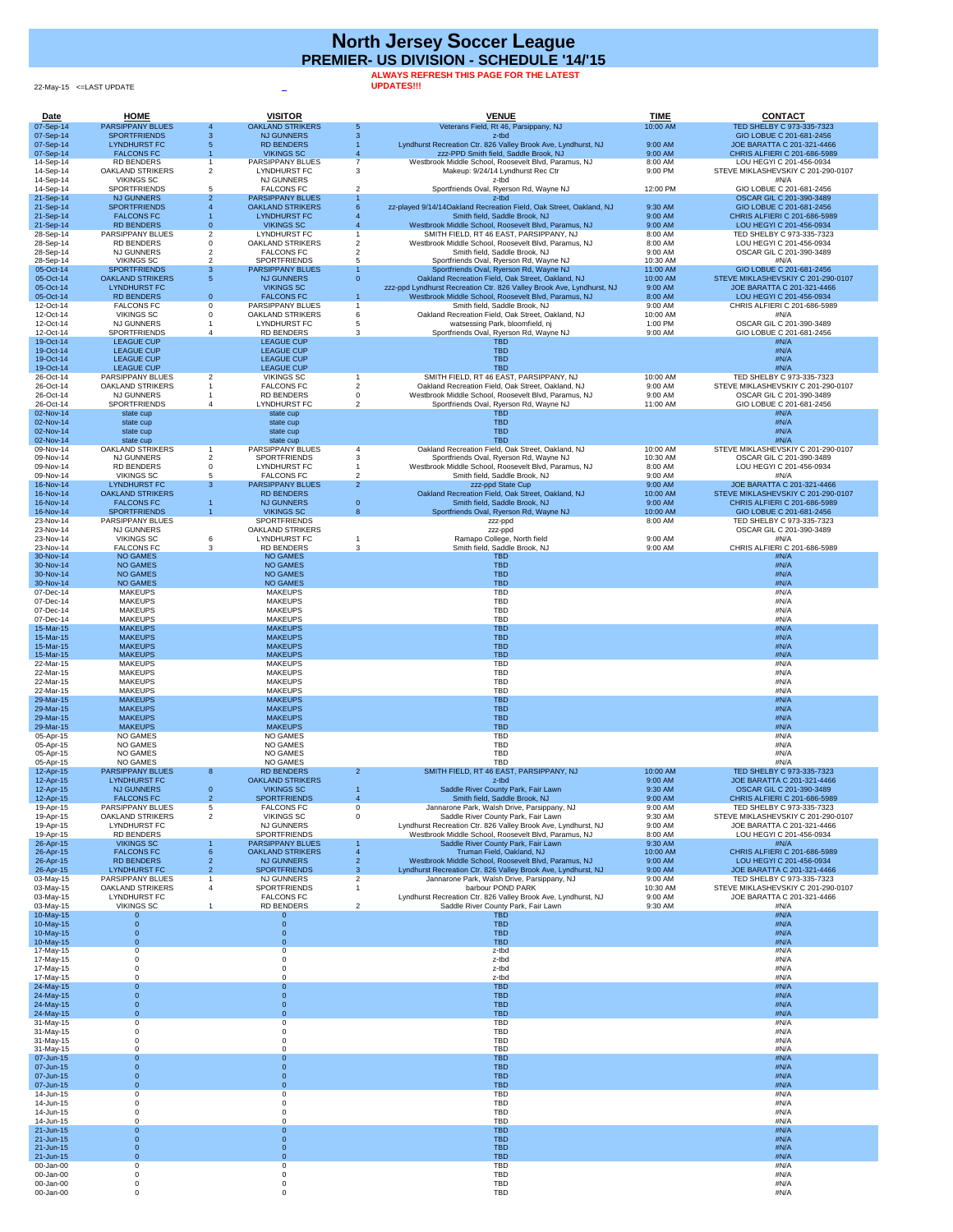22-May-15 <=LAST UPDATE

## **ALWAYS REFRESH THIS PAGE FOR THE LATEST**

**UPDATES!!!** 

| <b>Date</b>               | <b>HOME</b>                                    | <b>VISITOR</b>                                                       |                | <b>VENUE</b>                                                                                                               | <b>TIME</b>         | <b>CONTACT</b>                                                   |
|---------------------------|------------------------------------------------|----------------------------------------------------------------------|----------------|----------------------------------------------------------------------------------------------------------------------------|---------------------|------------------------------------------------------------------|
| 07-Sep-14<br>07-Sep-14    | <b>PARSIPPANY BLUES</b><br><b>SPORTFRIENDS</b> | <b>OAKLAND STRIKERS</b><br><b>NJ GUNNERS</b><br>3                    | -5             | Veterans Field, Rt 46, Parsippany, NJ<br>z-tbd                                                                             | 10:00 AM            | TED SHELBY C 973-335-7323<br>GIO LOBUE C 201-681-2456            |
| 07-Sep-14                 | <b>LYNDHURST FC</b>                            | <b>RD BENDERS</b>                                                    |                | Lyndhurst Recreation Ctr. 826 Valley Brook Ave, Lyndhurst, NJ                                                              | 9:00 AM             | JOE BARATTA C 201-321-4466                                       |
| 07-Sep-14<br>14-Sep-14    | <b>FALCONS FC</b><br><b>RD BENDERS</b>         | <b>VIKINGS SC</b><br>PARSIPPANY BLUES                                |                | zzz-PPD Smith field, Saddle Brook, NJ<br>Westbrook Middle School, Roosevelt Blvd, Paramus, NJ                              | 9:00 AM<br>8:00 AM  | CHRIS ALFIERI C 201-686-5989<br>LOU HEGYI C 201-456-0934         |
| 14-Sep-14                 | <b>OAKLAND STRIKERS</b>                        | $\overline{2}$<br><b>LYNDHURST FC</b>                                | 3              | Makeup: 9/24/14 Lyndhurst Rec Ctr                                                                                          | 9:00 PM             | STEVE MIKLASHEVSKIY C 201-290-0107                               |
| 14-Sep-14                 | <b>VIKINGS SC</b>                              | <b>NJ GUNNERS</b>                                                    |                | z-tbd                                                                                                                      |                     | #N/A                                                             |
| 14-Sep-14<br>21-Sep-14    | <b>SPORTFRIENDS</b><br><b>NJ GUNNERS</b>       | <b>FALCONS FC</b><br>5<br>$\overline{2}$<br><b>PARSIPPANY BLUES</b>  |                | Sportfriends Oval, Ryerson Rd, Wayne NJ<br>z-tbd                                                                           | 12:00 PM            | GIO LOBUE C 201-681-2456<br>OSCAR GIL C 201-390-3489             |
| 21-Sep-14                 | <b>SPORTFRIENDS</b>                            | <b>OAKLAND STRIKERS</b>                                              |                | zz-played 9/14/14Oakland Recreation Field, Oak Street, Oakland, NJ                                                         | 9:30 AM             | GIO LOBUE C 201-681-2456                                         |
| 21-Sep-14<br>21-Sep-14    | <b>FALCONS FC</b><br><b>RD BENDERS</b>         | <b>LYNDHURST FC</b><br><b>VIKINGS SC</b>                             |                | Smith field, Saddle Brook, NJ<br>Westbrook Middle School, Roosevelt Blvd, Paramus, NJ                                      | 9:00 AM<br>9:00 AM  | CHRIS ALFIERI C 201-686-5989<br>LOU HEGYI C 201-456-0934         |
| 28-Sep-14                 | PARSIPPANY BLUES                               | $\overline{2}$<br><b>LYNDHURST FC</b>                                |                | SMITH FIELD, RT 46 EAST, PARSIPPANY, NJ                                                                                    | 8:00 AM             | TED SHELBY C 973-335-7323                                        |
| 28-Sep-14<br>28-Sep-14    | <b>RD BENDERS</b><br><b>NJ GUNNERS</b>         | <b>OAKLAND STRIKERS</b><br><b>FALCONS FC</b>                         |                | Westbrook Middle School, Roosevelt Blvd, Paramus, NJ<br>Smith field, Saddle Brook, NJ                                      | 8:00 AM<br>9:00 AM  | LOU HEGYI C 201-456-0934<br>OSCAR GIL C 201-390-3489             |
| 28-Sep-14                 | <b>VIKINGS SC</b>                              | <b>SPORTFRIENDS</b>                                                  |                | Sportfriends Oval, Ryerson Rd, Wayne NJ                                                                                    | 10:30 AM            | #N/A                                                             |
| 05-Oct-14                 | <b>SPORTFRIENDS</b>                            | 3<br><b>PARSIPPANY BLUES</b>                                         |                | Sportfriends Oval, Ryerson Rd, Wayne NJ                                                                                    | 11:00 AM            | GIO LOBUE C 201-681-2456                                         |
| 05-Oct-14<br>05-Oct-14    | <b>OAKLAND STRIKERS</b><br><b>LYNDHURST FC</b> | 5<br><b>NJ GUNNERS</b><br><b>VIKINGS SC</b>                          | $\Omega$       | Oakland Recreation Field, Oak Street, Oakland, NJ<br>zzz-ppd Lyndhurst Recreation Ctr. 826 Valley Brook Ave, Lyndhurst, NJ | 10:00 AM<br>9:00 AM | STEVE MIKLASHEVSKIY C 201-290-0107<br>JOE BARATTA C 201-321-4466 |
| 05-Oct-14                 | <b>RD BENDERS</b>                              | $\overline{0}$<br><b>FALCONS FC</b>                                  |                | Westbrook Middle School, Roosevelt Blvd, Paramus, NJ                                                                       | 8:00 AM             | LOU HEGYI C 201-456-0934                                         |
| 12-Oct-14<br>12-Oct-14    | <b>FALCONS FC</b><br><b>VIKINGS SC</b>         | $\overline{0}$<br><b>PARSIPPANY BLUES</b><br><b>OAKLAND STRIKERS</b> |                | Smith field, Saddle Brook, NJ<br>Oakland Recreation Field, Oak Street, Oakland, NJ                                         | 9:00 AM<br>10:00 AM | CHRIS ALFIERI C 201-686-5989<br>#N/A                             |
| 12-Oct-14                 | <b>NJ GUNNERS</b>                              | <b>LYNDHURST FC</b>                                                  |                | watsessing Park, bloomfield, nj                                                                                            | 1:00 PM             | OSCAR GIL C 201-390-3489                                         |
| 12-Oct-14                 | <b>SPORTFRIENDS</b>                            | <b>RD BENDERS</b>                                                    |                | Sportfriends Oval, Ryerson Rd, Wayne NJ                                                                                    | 9:00 AM             | GIO LOBUE C 201-681-2456                                         |
| 19-Oct-14<br>19-Oct-14    | <b>LEAGUE CUP</b><br><b>LEAGUE CUP</b>         | <b>LEAGUE CUP</b><br><b>LEAGUE CUP</b>                               |                | <b>TBD</b><br><b>TBD</b>                                                                                                   |                     | #N/A<br>#N/A                                                     |
| 19-Oct-14                 | <b>LEAGUE CUP</b>                              | <b>LEAGUE CUP</b>                                                    |                | <b>TBD</b>                                                                                                                 |                     | #N/A                                                             |
| 19-Oct-14<br>26-Oct-14    | <b>LEAGUE CUP</b><br>PARSIPPANY BLUES          | <b>LEAGUE CUP</b><br>$\overline{2}$<br><b>VIKINGS SC</b>             |                | <b>TBD</b><br>SMITH FIELD, RT 46 EAST, PARSIPPANY, NJ                                                                      | 10:00 AM            | #N/A<br>TED SHELBY C 973-335-7323                                |
| 26-Oct-14                 | <b>OAKLAND STRIKERS</b>                        | <b>FALCONS FC</b>                                                    |                | Oakland Recreation Field, Oak Street, Oakland, NJ                                                                          | 9:00 AM             | STEVE MIKLASHEVSKIY C 201-290-0107                               |
| 26-Oct-14<br>26-Oct-14    | <b>NJ GUNNERS</b><br><b>SPORTFRIENDS</b>       | <b>RD BENDERS</b><br><b>LYNDHURST FC</b>                             | $\overline{2}$ | Westbrook Middle School, Roosevelt Blvd, Paramus, NJ<br>Sportfriends Oval, Ryerson Rd, Wayne NJ                            | 9:00 AM<br>11:00 AM | OSCAR GIL C 201-390-3489<br>GIO LOBUE C 201-681-2456             |
| 02-Nov-14                 | state cup                                      | state cup                                                            |                | <b>TBD</b>                                                                                                                 |                     | #N/A                                                             |
| 02-Nov-14                 | state cup                                      | state cup                                                            |                | <b>TBD</b>                                                                                                                 |                     | #N/A                                                             |
| 02-Nov-14<br>02-Nov-14    | state cup<br>state cup                         | state cup<br>state cup                                               |                | <b>TBD</b><br><b>TBD</b>                                                                                                   |                     | #N/A<br>#N/A                                                     |
| 09-Nov-14                 | <b>OAKLAND STRIKERS</b>                        | PARSIPPANY BLUES                                                     |                | Oakland Recreation Field, Oak Street, Oakland, NJ                                                                          | 10:00 AM            | STEVE MIKLASHEVSKIY C 201-290-0107                               |
| 09-Nov-14<br>09-Nov-14    | <b>NJ GUNNERS</b><br><b>RD BENDERS</b>         | <b>SPORTFRIENDS</b><br><b>LYNDHURST FC</b>                           |                | Sportfriends Oval, Ryerson Rd, Wayne NJ<br>Westbrook Middle School, Roosevelt Blvd, Paramus, NJ                            | 10:30 AM<br>8:00 AM | OSCAR GIL C 201-390-3489<br>LOU HEGYI C 201-456-0934             |
| 09-Nov-14                 | <b>VIKINGS SC</b>                              | <b>FALCONS FC</b>                                                    | -2             | Smith field, Saddle Brook, NJ                                                                                              | 9:00 AM             | #N/A                                                             |
| 16-Nov-14<br>16-Nov-14    | <b>LYNDHURST FC</b><br><b>OAKLAND STRIKERS</b> | $\mathbf{3}$<br><b>PARSIPPANY BLUES</b><br><b>RD BENDERS</b>         | $\overline{2}$ | zzz-ppd State Cup<br>Oakland Recreation Field, Oak Street, Oakland, NJ                                                     | 9:00 AM<br>10:00 AM | JOE BARATTA C 201-321-4466<br>STEVE MIKLASHEVSKIY C 201-290-0107 |
| 16-Nov-14                 | <b>FALCONS FC</b>                              | <b>NJ GUNNERS</b>                                                    | $\mathbf{0}$   | Smith field, Saddle Brook, NJ                                                                                              | 9:00 AM             | CHRIS ALFIERI C 201-686-5989                                     |
| 16-Nov-14                 | <b>SPORTFRIENDS</b>                            | <b>VIKINGS SC</b>                                                    | 8              | Sportfriends Oval, Ryerson Rd, Wayne NJ                                                                                    | 10:00 AM            | GIO LOBUE C 201-681-2456                                         |
| 23-Nov-14<br>23-Nov-14    | PARSIPPANY BLUES<br><b>NJ GUNNERS</b>          | <b>SPORTFRIENDS</b><br><b>OAKLAND STRIKERS</b>                       |                | zzz-ppd<br>zzz-ppd                                                                                                         | 8:00 AM             | TED SHELBY C 973-335-7323<br>OSCAR GIL C 201-390-3489            |
| 23-Nov-14                 | <b>VIKINGS SC</b>                              | <b>LYNDHURST FC</b><br>6                                             |                | Ramapo College, North field                                                                                                | 9:00 AM             | #N/A                                                             |
| 23-Nov-14<br>30-Nov-14    | <b>FALCONS FC</b><br><b>NO GAMES</b>           | 3<br><b>RD BENDERS</b><br><b>NO GAMES</b>                            | 3              | Smith field, Saddle Brook, NJ<br><b>TBD</b>                                                                                | 9:00 AM             | CHRIS ALFIERI C 201-686-5989<br>#N/A                             |
| 30-Nov-14                 | <b>NO GAMES</b>                                | <b>NO GAMES</b>                                                      |                | <b>TBD</b>                                                                                                                 |                     | #N/A                                                             |
| 30-Nov-14<br>30-Nov-14    | <b>NO GAMES</b><br><b>NO GAMES</b>             | <b>NO GAMES</b><br><b>NO GAMES</b>                                   |                | <b>TBD</b><br><b>TBD</b>                                                                                                   |                     | #N/A<br>#N/A                                                     |
| 07-Dec-14                 | <b>MAKEUPS</b>                                 | <b>MAKEUPS</b>                                                       |                | <b>TBD</b>                                                                                                                 |                     | #N/A                                                             |
| 07-Dec-14                 | <b>MAKEUPS</b>                                 | <b>MAKEUPS</b>                                                       |                | <b>TBD</b>                                                                                                                 |                     | #N/A                                                             |
| 07-Dec-14<br>07-Dec-14    | <b>MAKEUPS</b><br><b>MAKEUPS</b>               | <b>MAKEUPS</b><br><b>MAKEUPS</b>                                     |                | <b>TBD</b><br><b>TBD</b>                                                                                                   |                     | #N/A<br>#N/A                                                     |
| 15-Mar-15                 | <b>MAKEUPS</b>                                 | <b>MAKEUPS</b>                                                       |                | <b>TBD</b>                                                                                                                 |                     | #N/A                                                             |
| 15-Mar-15<br>15-Mar-15    | <b>MAKEUPS</b><br><b>MAKEUPS</b>               | <b>MAKEUPS</b><br><b>MAKEUPS</b>                                     |                | <b>TBD</b><br><b>TBD</b>                                                                                                   |                     | #N/A<br>#N/A                                                     |
| 15-Mar-15                 | <b>MAKEUPS</b>                                 | <b>MAKEUPS</b>                                                       |                | <b>TBD</b>                                                                                                                 |                     | #N/A                                                             |
| 22-Mar-15                 | <b>MAKEUPS</b>                                 | <b>MAKEUPS</b>                                                       |                | <b>TBD</b><br><b>TBD</b>                                                                                                   |                     | #N/A                                                             |
| 22-Mar-15<br>22-Mar-15    | <b>MAKEUPS</b><br><b>MAKEUPS</b>               | <b>MAKEUPS</b><br><b>MAKEUPS</b>                                     |                | <b>TBD</b>                                                                                                                 |                     | #N/A<br>#N/A                                                     |
| 22-Mar-15                 | <b>MAKEUPS</b>                                 | <b>MAKEUPS</b>                                                       |                | <b>TBD</b>                                                                                                                 |                     | #N/A                                                             |
| 29-Mar-15<br>29-Mar-15    | <b>MAKEUPS</b><br><b>MAKEUPS</b>               | <b>MAKEUPS</b><br><b>MAKEUPS</b>                                     |                | <b>TBD</b><br><b>TBD</b>                                                                                                   |                     | #N/A<br>#N/A                                                     |
| 29-Mar-15                 | <b>MAKEUPS</b>                                 | <b>MAKEUPS</b>                                                       |                | <b>TBD</b>                                                                                                                 |                     | #N/A                                                             |
| 29-Mar-15<br>05-Apr-15    | <b>MAKEUPS</b><br><b>NO GAMES</b>              | <b>MAKEUPS</b><br><b>NO GAMES</b>                                    |                | <b>TBD</b><br><b>TBD</b>                                                                                                   |                     | #N/A<br>#N/A                                                     |
| 05-Apr-15                 | <b>NO GAMES</b>                                | <b>NO GAMES</b>                                                      |                | <b>TBD</b>                                                                                                                 |                     | #N/A                                                             |
| 05-Apr-15                 | <b>NO GAMES</b>                                | <b>NO GAMES</b>                                                      |                | <b>TBD</b>                                                                                                                 |                     | #N/A                                                             |
| 05-Apr-15<br>12-Apr-15    | <b>NO GAMES</b><br><b>PARSIPPANY BLUES</b>     | <b>NO GAMES</b><br><b>RD BENDERS</b><br>8                            | -2             | <b>TBD</b><br>SMITH FIELD, RT 46 EAST, PARSIPPANY, NJ                                                                      | 10:00 AM            | #N/A<br>TED SHELBY C 973-335-7323                                |
| 12-Apr-15                 | <b>LYNDHURST FC</b>                            | <b>OAKLAND STRIKERS</b>                                              |                | z-tbd                                                                                                                      | 9:00 AM             | JOE BARATTA C 201-321-4466                                       |
| 12-Apr-15<br>12-Apr-15    | <b>NJ GUNNERS</b><br><b>FALCONS FC</b>         | <b>VIKINGS SC</b><br>$\overline{2}$<br><b>SPORTFRIENDS</b>           |                | Saddle River County Park, Fair Lawn<br>Smith field, Saddle Brook, NJ                                                       | 9:30 AM<br>9:00 AM  | OSCAR GIL C 201-390-3489<br>CHRIS ALFIERI C 201-686-5989         |
| 19-Apr-15                 | PARSIPPANY BLUES                               | <b>FALCONS FC</b><br>5                                               | $\mathbf 0$    | Jannarone Park, Walsh Drive, Parsippany, NJ                                                                                | 9:00 AM             | TED SHELBY C 973-335-7323                                        |
| 19-Apr-15                 | <b>OAKLAND STRIKERS</b>                        | 2<br><b>VIKINGS SC</b>                                               | $\Omega$       | Saddle River County Park, Fair Lawn                                                                                        | 9:30 AM             | STEVE MIKLASHEVSKIY C 201-290-0107                               |
| 19-Apr-15<br>19-Apr-15    | LYNDHURST FC<br><b>RD BENDERS</b>              | <b>NJ GUNNERS</b><br><b>SPORTFRIENDS</b>                             |                | Lyndhurst Recreation Ctr. 826 Valley Brook Ave, Lyndhurst, NJ<br>Westbrook Middle School, Roosevelt Blvd, Paramus, NJ      | 9:00 AM<br>8:00 AM  | JOE BARATTA C 201-321-4466<br>LOU HEGYI C 201-456-0934           |
| 26-Apr-15                 | <b>VIKINGS SC</b>                              | <b>PARSIPPANY BLUES</b>                                              |                | Saddle River County Park, Fair Lawn                                                                                        | 9:30 AM             | #N/A                                                             |
| 26-Apr-15<br>26-Apr-15    | <b>FALCONS FC</b><br><b>RD BENDERS</b>         | <b>OAKLAND STRIKERS</b><br><b>NJ GUNNERS</b>                         |                | Truman Field, Oakland, NJ<br>Westbrook Middle School, Roosevelt Blvd, Paramus, NJ                                          | 10:00 AM<br>9:00 AM | CHRIS ALFIERI C 201-686-5989<br>LOU HEGYI C 201-456-0934         |
| 26-Apr-15                 | <b>LYNDHURST FC</b>                            | <b>SPORTFRIENDS</b>                                                  | 3              | Lyndhurst Recreation Ctr. 826 Valley Brook Ave, Lyndhurst, NJ                                                              | 9:00 AM             | JOE BARATTA C 201-321-4466                                       |
| 03-May-15<br>03-May-15    | PARSIPPANY BLUES<br><b>OAKLAND STRIKERS</b>    | <b>NJ GUNNERS</b><br><b>SPORTFRIENDS</b>                             |                | Jannarone Park, Walsh Drive, Parsippany, NJ<br>barbour POND PARK                                                           | 9:00 AM<br>10:30 AM | TED SHELBY C 973-335-7323<br>STEVE MIKLASHEVSKIY C 201-290-0107  |
| 03-May-15                 | <b>LYNDHURST FC</b>                            | <b>FALCONS FC</b>                                                    |                | Lyndhurst Recreation Ctr. 826 Valley Brook Ave, Lyndhurst, NJ                                                              | 9:00 AM             | JOE BARATTA C 201-321-4466                                       |
| 03-May-15<br>10-May-15    | <b>VIKINGS SC</b>                              | <b>RD BENDERS</b>                                                    | $\overline{2}$ | Saddle River County Park, Fair Lawn<br><b>TBD</b>                                                                          | 9:30 AM             | #N/A<br>#N/A                                                     |
| 10-May-15                 |                                                |                                                                      |                | <b>TBD</b>                                                                                                                 |                     | #N/A                                                             |
| 10-May-15                 |                                                |                                                                      |                | <b>TBD</b>                                                                                                                 |                     | #N/A                                                             |
| 10-May-15<br>17-May-15    |                                                |                                                                      |                | <b>TBD</b><br>z-tbd                                                                                                        |                     | #N/A<br>#N/A                                                     |
| 17-May-15                 |                                                |                                                                      |                | z-tbd                                                                                                                      |                     | #N/A                                                             |
| 17-May-15<br>17-May-15    |                                                |                                                                      |                | z-tbd<br>z-tbd                                                                                                             |                     | #N/A<br>#N/A                                                     |
| 24-May-15                 |                                                |                                                                      |                | <b>TBD</b>                                                                                                                 |                     | #N/A                                                             |
| 24-May-15<br>24-May-15    |                                                |                                                                      |                | <b>TBD</b><br><b>TBD</b>                                                                                                   |                     | #N/A<br>#N/A                                                     |
| 24-May-15                 |                                                |                                                                      |                | <b>TBD</b>                                                                                                                 |                     | #N/A                                                             |
| 31-May-15                 |                                                |                                                                      |                | <b>TBD</b>                                                                                                                 |                     | #N/A                                                             |
| 31-May-15<br>31-May-15    |                                                |                                                                      |                | <b>TBD</b><br><b>TBD</b>                                                                                                   |                     | #N/A<br>#N/A                                                     |
| 31-May-15                 |                                                |                                                                      |                | <b>TBD</b>                                                                                                                 |                     | #N/A                                                             |
| 07-Jun-15<br>07-Jun-15    |                                                |                                                                      |                | <b>TBD</b><br><b>TBD</b>                                                                                                   |                     | #N/A<br>#N/A                                                     |
| 07-Jun-15                 |                                                |                                                                      |                | <b>TBD</b>                                                                                                                 |                     | #N/A                                                             |
| 07-Jun-15<br>14-Jun-15    |                                                |                                                                      |                | <b>TBD</b><br><b>TBD</b>                                                                                                   |                     | #N/A<br>#N/A                                                     |
| 14-Jun-15                 |                                                |                                                                      |                | <b>TBD</b>                                                                                                                 |                     | #N/A                                                             |
| 14-Jun-15                 |                                                |                                                                      |                | <b>TBD</b>                                                                                                                 |                     | $\#N/A$                                                          |
| 14-Jun-15<br>$21$ -Jun-15 |                                                |                                                                      |                | <b>TBD</b><br><b>TBD</b>                                                                                                   |                     | #N/A<br>#N/A                                                     |
| 21-Jun-15                 |                                                |                                                                      |                | <b>TBD</b>                                                                                                                 |                     | #N/A                                                             |
| $21$ -Jun-15<br>21-Jun-15 |                                                |                                                                      |                | <b>TBD</b><br><b>TBD</b>                                                                                                   |                     | #N/A<br>#N/A                                                     |
| 00-Jan-00                 |                                                |                                                                      |                | <b>TBD</b>                                                                                                                 |                     | #N/A                                                             |
| 00-Jan-00<br>00-Jan-00    |                                                |                                                                      |                | <b>TBD</b><br><b>TBD</b>                                                                                                   |                     | #N/A<br>#N/A                                                     |
| 00-Jan-00                 |                                                |                                                                      |                | <b>TBD</b>                                                                                                                 |                     | #N/A                                                             |

## **North Jersey Soccer League PREMIER- US DIVISION - SCHEDULE '14/'15**